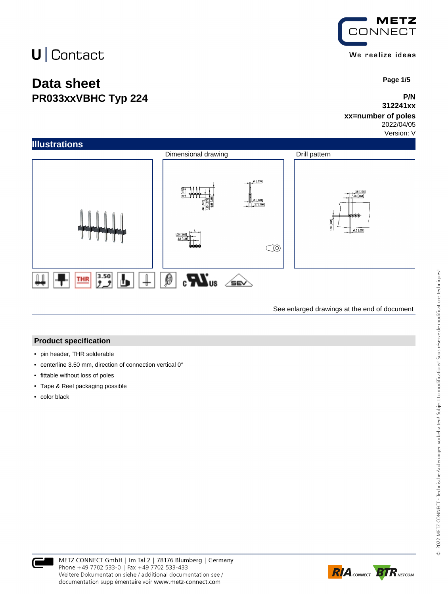## **Data sheet PR033xxVBHC Typ 224**



 **Page 1/5**

#### **P/N 312241xx**

### **xx=number of poles**

2022/04/05 Version: V



See enlarged drawings at the end of document

#### **Product specification**

- pin header, THR solderable
- centerline 3.50 mm, direction of connection vertical 0°
- fittable without loss of poles
- Tape & Reel packaging possible
- color black



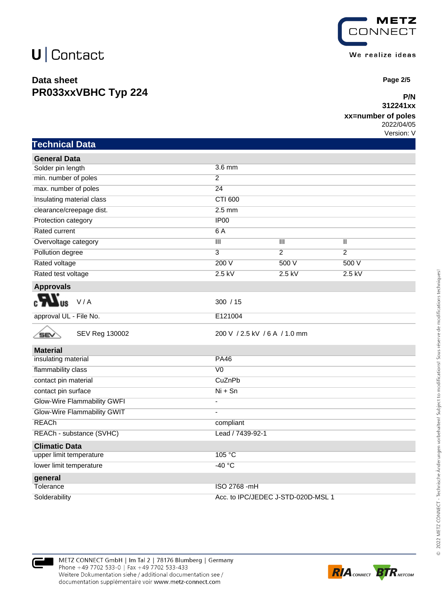### **Data sheet PR033xxVBHC Typ 224**



 **Page 2/5**

#### **P/N 312241xx**

#### **xx=number of poles**

2022/04/05 Version: V

|  | Technical Data |  |
|--|----------------|--|
|  |                |  |
|  |                |  |

| <b>General Data</b>                |                               |                           |                |  |
|------------------------------------|-------------------------------|---------------------------|----------------|--|
| Solder pin length                  | 3.6 mm                        |                           |                |  |
| min. number of poles               | $\overline{2}$                |                           |                |  |
| max. number of poles               | 24                            |                           |                |  |
| Insulating material class          | <b>CTI 600</b>                |                           |                |  |
| clearance/creepage dist.           | $2.5$ mm                      |                           |                |  |
| Protection category                | IP00                          |                           |                |  |
| Rated current                      | 6A                            |                           |                |  |
| Overvoltage category               | $\overline{\mathbb{H}}$       | $\overline{\mathsf{III}}$ | Π              |  |
| Pollution degree                   | $\overline{3}$                | $\overline{2}$            | $\overline{2}$ |  |
| Rated voltage                      | 200 V                         | 500 V                     | 500V           |  |
| Rated test voltage                 | $2.5$ kV                      | $2.5$ kV                  | $2.5$ kV       |  |
| <b>Approvals</b>                   |                               |                           |                |  |
| V/A                                | 300 / 15                      |                           |                |  |
| approval UL - File No.             | E121004                       |                           |                |  |
| SEV Reg 130002<br><b>SEV</b>       | 200 V / 2.5 kV / 6 A / 1.0 mm |                           |                |  |
| <b>Material</b>                    |                               |                           |                |  |
| insulating material                | <b>PA46</b>                   |                           |                |  |
| flammability class                 | V <sub>0</sub>                |                           |                |  |
| contact pin material               | CuZnPb                        |                           |                |  |
| contact pin surface                | $Ni + Sn$                     |                           |                |  |
| <b>Glow-Wire Flammability GWFI</b> |                               |                           |                |  |
| Glow-Wire Flammability GWIT        |                               |                           |                |  |
| <b>REACh</b>                       | compliant                     |                           |                |  |
| REACh - substance (SVHC)           | Lead / 7439-92-1              |                           |                |  |
| <b>Climatic Data</b>               |                               |                           |                |  |
| upper limit temperature            | 105 °C                        |                           |                |  |
| lower limit temperature            | $-40 °C$                      |                           |                |  |
| general                            |                               |                           |                |  |
| Tolerance                          | ISO 2768 - mH                 |                           |                |  |
|                                    |                               |                           |                |  |



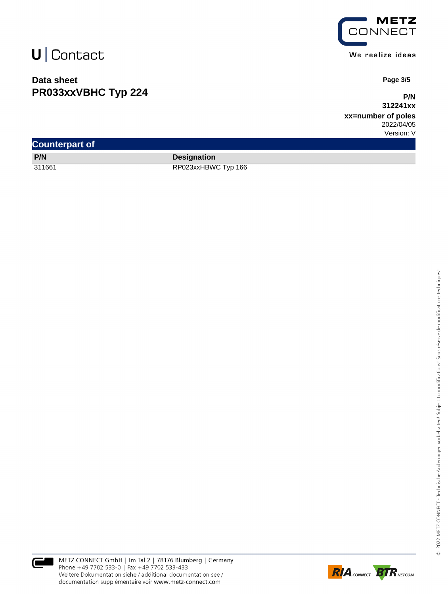### **Data sheet PR033xxVBHC Typ 224**



We realize ideas

 **Page 3/5**

**P/N 312241xx**

**xx=number of poles** 2022/04/05 Version: V

| <b>Counterpart of</b> |                     |  |  |  |  |
|-----------------------|---------------------|--|--|--|--|
| P/N                   | <b>Designation</b>  |  |  |  |  |
| 311661                | RP023xxHBWC Typ 166 |  |  |  |  |



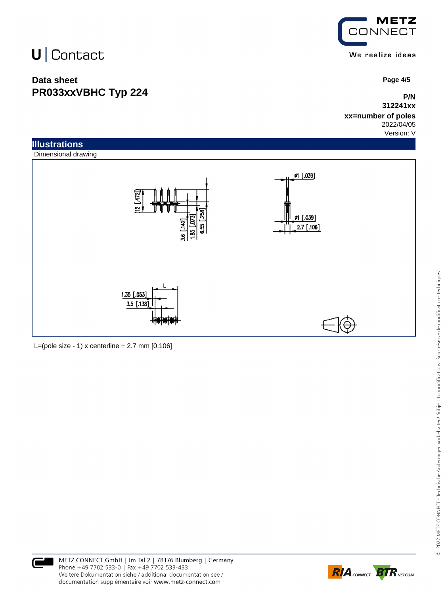### **Data sheet PR033xxVBHC Typ 224**



 **Page 4/5**

### **P/N 312241xx**

#### **xx=number of poles** 2022/04/05

Version: V



L=(pole size - 1) x centerline  $+ 2.7$  mm  $[0.106]$